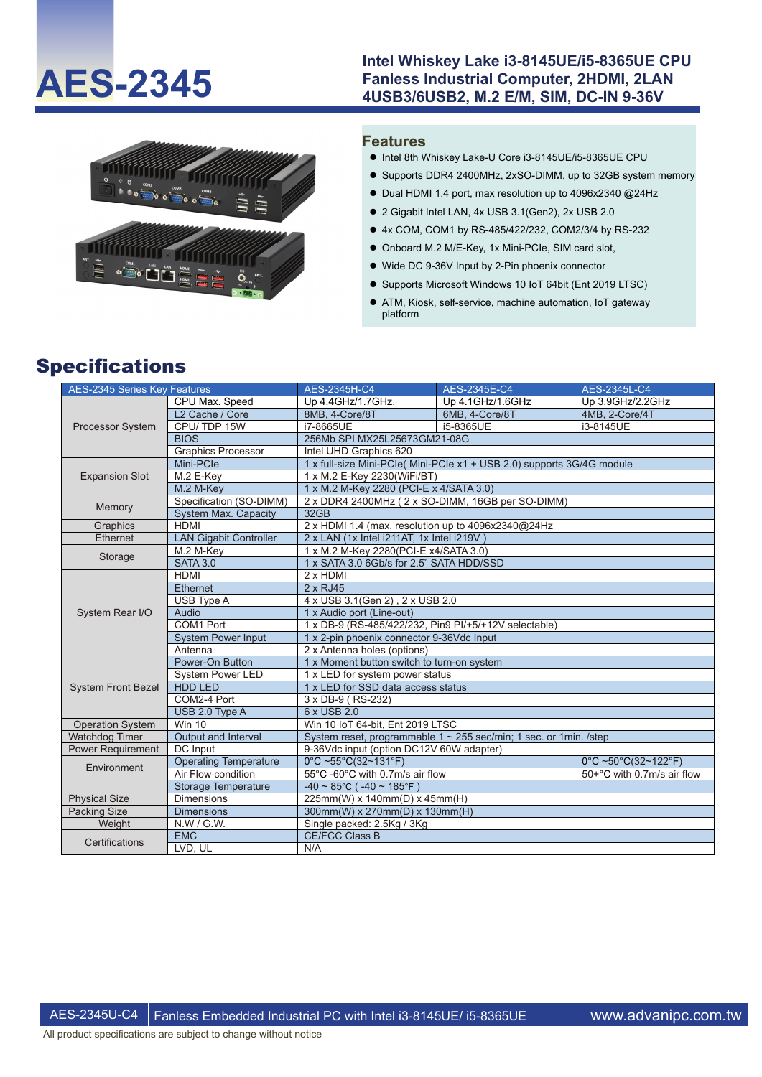### Intel Whiskey Lake i3-8145UE/i5-8365UE CPU<br>Fanless Industrial Computer, 2HDMI, 2LAN<br>ALSO ALISO ALISO ALISO M 2 E/M SIM DC IN 9,26V **Fanless Industrial Computer, 2HDMI, 2LAN 4USB3/6USB2, M.2 E/M, SIM, DC-IN 9-36V**



#### **Features**

- Intel 8th Whiskey Lake-U Core i3-8145UE/i5-8365UE CPU
- Supports DDR4 2400MHz, 2xSO-DIMM, up to 32GB system memory
- $\bullet$  Dual HDMI 1.4 port, max resolution up to 4096x2340 @24Hz
- 2 Gigabit Intel LAN, 4x USB 3.1(Gen2), 2x USB 2.0
- 4x COM, COM1 by RS-485/422/232, COM2/3/4 by RS-232
- Onboard M.2 M/E-Key, 1x Mini-PCIe, SIM card slot,
- Wide DC 9-36V Input by 2-Pin phoenix connector
- Supports Microsoft Windows 10 IoT 64bit (Ent 2019 LTSC)
- ATM, Kiosk, self-service, machine automation, IoT gateway platform

# Specifications

| <b>AES-2345 Series Key Features</b> |                               | <b>AES-2345H-C4</b>                                                    | AES-2345E-C4     | AES-2345L-C4               |  |  |  |
|-------------------------------------|-------------------------------|------------------------------------------------------------------------|------------------|----------------------------|--|--|--|
| Processor System                    | CPU Max. Speed                | Up 4.4GHz/1.7GHz,                                                      | Up 4.1GHz/1.6GHz | Up 3.9GHz/2.2GHz           |  |  |  |
|                                     | L <sub>2</sub> Cache / Core   | 8MB. 4-Core/8T                                                         | 6MB. 4-Core/8T   | 4MB. 2-Core/4T             |  |  |  |
|                                     | CPU/TDP 15W                   | i7-8665UE                                                              | i5-8365UE        | i3-8145UE                  |  |  |  |
|                                     | <b>BIOS</b>                   | 256Mb SPI MX25L25673GM21-08G                                           |                  |                            |  |  |  |
|                                     | <b>Graphics Processor</b>     | Intel UHD Graphics 620                                                 |                  |                            |  |  |  |
|                                     | Mini-PCle                     | 1 x full-size Mini-PCle( Mini-PCle x1 + USB 2.0) supports 3G/4G module |                  |                            |  |  |  |
| <b>Expansion Slot</b>               | M.2 E-Key                     | 1 x M.2 E-Key 2230(WiFi/BT)                                            |                  |                            |  |  |  |
|                                     | M.2 M-Key                     | 1 x M.2 M-Key 2280 (PCI-E x 4/SATA 3.0)                                |                  |                            |  |  |  |
| Memory                              | Specification (SO-DIMM)       | 2 x DDR4 2400MHz (2 x SO-DIMM, 16GB per SO-DIMM)                       |                  |                            |  |  |  |
|                                     | <b>System Max. Capacity</b>   | 32GB                                                                   |                  |                            |  |  |  |
| Graphics                            | <b>HDMI</b>                   | 2 x HDMI 1.4 (max. resolution up to 4096x2340@24Hz                     |                  |                            |  |  |  |
| Ethernet                            | <b>LAN Gigabit Controller</b> | 2 x LAN (1x Intel i211AT, 1x Intel i219V)                              |                  |                            |  |  |  |
|                                     | M.2 M-Key                     | 1 x M.2 M-Key 2280 (PCI-E x4/SATA 3.0)                                 |                  |                            |  |  |  |
| Storage                             | <b>SATA 3.0</b>               | 1 x SATA 3.0 6Gb/s for 2.5" SATA HDD/SSD                               |                  |                            |  |  |  |
| System Rear I/O                     | <b>HDMI</b>                   | $2 \times$ HDMI                                                        |                  |                            |  |  |  |
|                                     | <b>Ethernet</b>               | $2 \times RJ45$                                                        |                  |                            |  |  |  |
|                                     | USB Type A                    | 4 x USB 3.1(Gen 2), 2 x USB 2.0                                        |                  |                            |  |  |  |
|                                     | Audio                         | 1 x Audio port (Line-out)                                              |                  |                            |  |  |  |
|                                     | COM1 Port                     | 1 x DB-9 (RS-485/422/232, Pin9 PI/+5/+12V selectable)                  |                  |                            |  |  |  |
|                                     | <b>System Power Input</b>     | 1 x 2-pin phoenix connector 9-36Vdc Input                              |                  |                            |  |  |  |
|                                     | Antenna                       | 2 x Antenna holes (options)                                            |                  |                            |  |  |  |
|                                     | Power-On Button               | 1 x Moment button switch to turn-on system                             |                  |                            |  |  |  |
|                                     | <b>System Power LED</b>       | 1 x LED for system power status                                        |                  |                            |  |  |  |
| <b>System Front Bezel</b>           | <b>HDD LED</b>                | 1 x LED for SSD data access status                                     |                  |                            |  |  |  |
|                                     | COM2-4 Port                   | 3 x DB-9 (RS-232)                                                      |                  |                            |  |  |  |
|                                     | USB 2.0 Type A                | 6 x USB 2.0                                                            |                  |                            |  |  |  |
| <b>Operation System</b>             | <b>Win 10</b>                 | Win 10 IoT 64-bit, Ent 2019 LTSC                                       |                  |                            |  |  |  |
| <b>Watchdog Timer</b>               | Output and Interval           | System reset, programmable $1 \sim 255$ sec/min; 1 sec. or 1min. /step |                  |                            |  |  |  |
| <b>Power Requirement</b>            | DC Input                      | 9-36Vdc input (option DC12V 60W adapter)                               |                  |                            |  |  |  |
| Environment                         | <b>Operating Temperature</b>  | $0^{\circ}$ C ~55°C(32~131°F)                                          |                  | 0°C ~50°C(32~122°F)        |  |  |  |
|                                     | Air Flow condition            | 55°C -60°C with 0.7m/s air flow                                        |                  | 50+°C with 0.7m/s air flow |  |  |  |
|                                     | <b>Storage Temperature</b>    | $-40 \sim 85^{\circ}$ C ( $-40 \sim 185^{\circ}$ F)                    |                  |                            |  |  |  |
| <b>Physical Size</b>                | <b>Dimensions</b>             | 225mm(W) x 140mm(D) x 45mm(H)                                          |                  |                            |  |  |  |
| Packing Size                        | <b>Dimensions</b>             | 300mm(W) x 270mm(D) x 130mm(H)                                         |                  |                            |  |  |  |
| Weight                              | N.W / G.W.                    | Single packed: 2.5Kg / 3Kg                                             |                  |                            |  |  |  |
| Certifications                      | <b>EMC</b>                    | <b>CE/FCC Class B</b>                                                  |                  |                            |  |  |  |
|                                     | LVD, UL                       | N/A                                                                    |                  |                            |  |  |  |

All product specifications are subject to change without notice